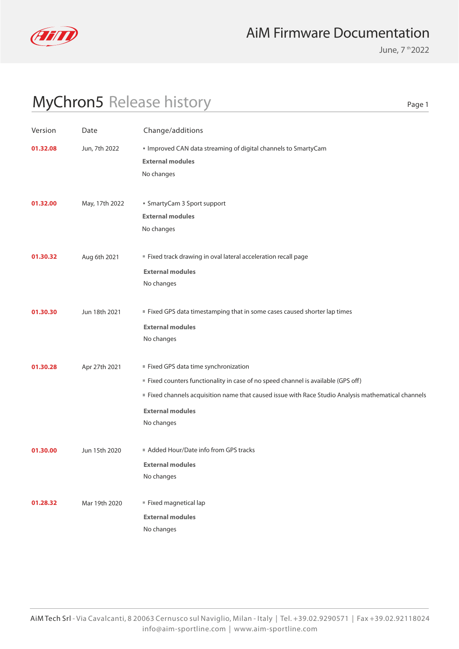

June, 7 th 2022

Page 1

# MyChron5 Release history

Version Date Change/additions **01.28.32** Mar 19th 2020 **Fixed magnetical lap** No changes **External modules 01.30.00** Jun 15th 2020 Added Hour/Date info from GPS tracks No changes **External modules 01.30.28** Apr 27th 2021 **Fixed GPS data time synchronization** No changes **External modules** Fixed counters functionality in case of no speed channel is available (GPS off) Fixed channels acquisition name that caused issue with Race Studio Analysis mathematical channels **01.30.30** Jun 18th 2021 **Fixed GPS data timestamping that in some cases caused shorter lap times** No changes **External modules 01.30.32** Aug 6th 2021 **Fixed track drawing in oval lateral acceleration recall page** No changes **External modules External modules 01.32.00** May, 17th 2022 **SmartyCam 3 Sport support** No changes **External modules 01.32.08** Jun, 7th 2022 **IMProved CAN data streaming of digital channels to SmartyCam** No changes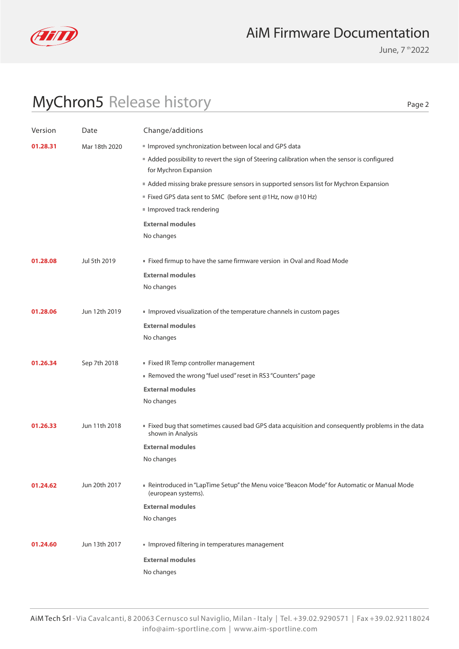

June, 7 th 2022

# MyChron5 Release history

Page 2

| Version  | Date          | Change/additions                                                                                                    |
|----------|---------------|---------------------------------------------------------------------------------------------------------------------|
| 01.28.31 | Mar 18th 2020 | Improved synchronization between local and GPS data                                                                 |
|          |               | Added possibility to revert the sign of Steering calibration when the sensor is configured<br>for Mychron Expansion |
|          |               | Added missing brake pressure sensors in supported sensors list for Mychron Expansion                                |
|          |               | ■ Fixed GPS data sent to SMC (before sent @1Hz, now @10 Hz)                                                         |
|          |               | Improved track rendering                                                                                            |
|          |               | <b>External modules</b>                                                                                             |
|          |               | No changes                                                                                                          |
|          |               |                                                                                                                     |
| 01.28.08 | Jul 5th 2019  | " Fixed firmup to have the same firmware version in Oval and Road Mode                                              |
|          |               | <b>External modules</b>                                                                                             |
|          |               | No changes                                                                                                          |
| 01.28.06 | Jun 12th 2019 | Improved visualization of the temperature channels in custom pages                                                  |
|          |               | <b>External modules</b>                                                                                             |
|          |               | No changes                                                                                                          |
|          |               |                                                                                                                     |
| 01.26.34 | Sep 7th 2018  | Fixed IR Temp controller management                                                                                 |
|          |               | Removed the wrong "fuel used" reset in RS3 "Counters" page                                                          |
|          |               | <b>External modules</b>                                                                                             |
|          |               | No changes                                                                                                          |
| 01.26.33 | Jun 11th 2018 | Fixed bug that sometimes caused bad GPS data acquisition and consequently problems in the data<br>shown in Analysis |
|          |               | <b>External modules</b>                                                                                             |
|          |               | No changes                                                                                                          |
| 01.24.62 | Jun 20th 2017 | Reintroduced in "LapTime Setup" the Menu voice "Beacon Mode" for Automatic or Manual Mode<br>(european systems).    |
|          |               | <b>External modules</b>                                                                                             |
|          |               | No changes                                                                                                          |
| 01.24.60 | Jun 13th 2017 | Improved filtering in temperatures management                                                                       |
|          |               | <b>External modules</b>                                                                                             |
|          |               | No changes                                                                                                          |
|          |               |                                                                                                                     |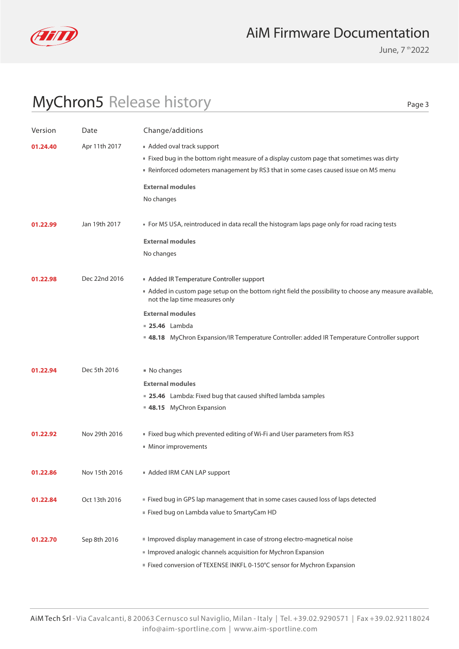

June, 7 th 2022

# MyChron5 Release history

Page 3

| Version  | Date          | Change/additions                                                                                      |
|----------|---------------|-------------------------------------------------------------------------------------------------------|
| 01.24.40 | Apr 11th 2017 | Added oval track support                                                                              |
|          |               | " Fixed bug in the bottom right measure of a display custom page that sometimes was dirty             |
|          |               | Reinforced odometers management by RS3 that in some cases caused issue on M5 menu                     |
|          |               | <b>External modules</b>                                                                               |
|          |               | No changes                                                                                            |
|          |               |                                                                                                       |
| 01.22.99 | Jan 19th 2017 | • For M5 USA, reintroduced in data recall the histogram laps page only for road racing tests          |
|          |               | <b>External modules</b>                                                                               |
|          |               | No changes                                                                                            |
|          |               |                                                                                                       |
| 01.22.98 | Dec 22nd 2016 | Added IR Temperature Controller support                                                               |
|          |               | Added in custom page setup on the bottom right field the possibility to choose any measure available, |
|          |               | not the lap time measures only                                                                        |
|          |               | <b>External modules</b>                                                                               |
|          |               | <b>25.46</b> Lambda                                                                                   |
|          |               | ■ 48.18 MyChron Expansion/IR Temperature Controller: added IR Temperature Controller support          |
|          |               |                                                                                                       |
| 01.22.94 | Dec 5th 2016  | ■ No changes                                                                                          |
|          |               | <b>External modules</b>                                                                               |
|          |               | ■ 25.46 Lambda: Fixed bug that caused shifted lambda samples                                          |
|          |               | 48.15 MyChron Expansion                                                                               |
|          |               |                                                                                                       |
| 01.22.92 | Nov 29th 2016 | ■ Fixed bug which prevented editing of Wi-Fi and User parameters from RS3                             |
|          |               | ■ Minor improvements                                                                                  |
|          |               |                                                                                                       |
| 01.22.86 | Nov 15th 2016 | Added IRM CAN LAP support                                                                             |
|          |               |                                                                                                       |
| 01.22.84 | Oct 13th 2016 | ■ Fixed bug in GPS lap management that in some cases caused loss of laps detected                     |
|          |               | Fixed bug on Lambda value to SmartyCam HD                                                             |
|          |               |                                                                                                       |
| 01.22.70 | Sep 8th 2016  | Improved display management in case of strong electro-magnetical noise                                |
|          |               | Improved analogic channels acquisition for Mychron Expansion                                          |
|          |               | Fixed conversion of TEXENSE INKFL 0-150°C sensor for Mychron Expansion                                |
|          |               |                                                                                                       |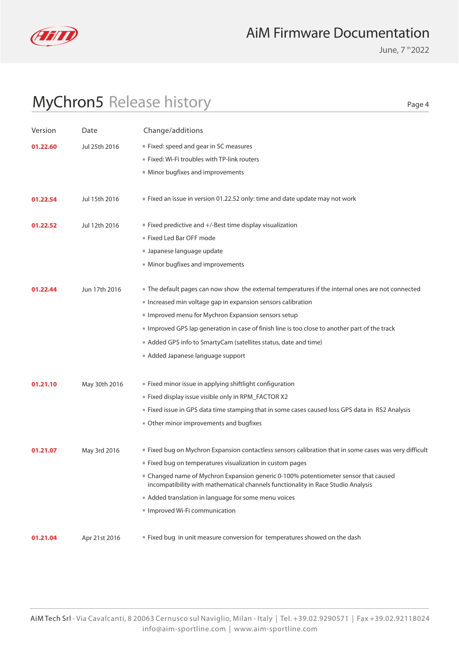

June, 7 th 2022

Page 4

# MyChron5 Release history

| Version  | Date          | Change/additions                                                                                                                                                        |
|----------|---------------|-------------------------------------------------------------------------------------------------------------------------------------------------------------------------|
| 01.22.60 | Jul 25th 2016 | Fixed: speed and gear in SC measures                                                                                                                                    |
|          |               | ■ Fixed: Wi-Fi troubles with TP-link routers                                                                                                                            |
|          |               | Minor bugfixes and improvements                                                                                                                                         |
|          |               |                                                                                                                                                                         |
| 01.22.54 | Jul 15th 2016 | Fixed an issue in version 01.22.52 only: time and date update may not work                                                                                              |
|          |               |                                                                                                                                                                         |
| 01.22.52 | Jul 12th 2016 | ■ Fixed predictive and +/-Best time display visualization                                                                                                               |
|          |               | Fixed Led Bar OFF mode                                                                                                                                                  |
|          |               | Japanese language update                                                                                                                                                |
|          |               | Minor bugfixes and improvements                                                                                                                                         |
|          |               |                                                                                                                                                                         |
| 01.22.44 | Jun 17th 2016 | The default pages can now show the external temperatures if the internal ones are not connected                                                                         |
|          |               | Increased min voltage gap in expansion sensors calibration<br>Improved menu for Mychron Expansion sensors setup                                                         |
|          |               |                                                                                                                                                                         |
|          |               | Improved GPS lap generation in case of finish line is too close to another part of the track                                                                            |
|          |               | Added GPS info to SmartyCam (satellites status, date and time)                                                                                                          |
|          |               | Added Japanese language support                                                                                                                                         |
| 01.21.10 | May 30th 2016 | ■ Fixed minor issue in applying shiftlight configuration                                                                                                                |
|          |               | ■ Fixed display issue visible only in RPM_FACTOR X2                                                                                                                     |
|          |               | Fixed issue in GPS data time stamping that in some cases caused loss GPS data in RS2 Analysis                                                                           |
|          |               | Other minor improvements and bugfixes                                                                                                                                   |
|          |               |                                                                                                                                                                         |
| 01.21.07 | May 3rd 2016  | ■ Fixed bug on Mychron Expansion contactless sensors calibration that in some cases was very difficult                                                                  |
|          |               | Eixed bug on temperatures visualization in custom pages                                                                                                                 |
|          |               | ■ Changed name of Mychron Expansion generic 0-100% potentiometer sensor that caused<br>incompatibility with mathematical channels functionality in Race Studio Analysis |
|          |               | Added translation in language for some menu voices                                                                                                                      |
|          |               | Improved Wi-Fi communication                                                                                                                                            |
|          |               |                                                                                                                                                                         |
| 01.21.04 | Apr 21st 2016 | ■ Fixed bug in unit measure conversion for temperatures showed on the dash                                                                                              |